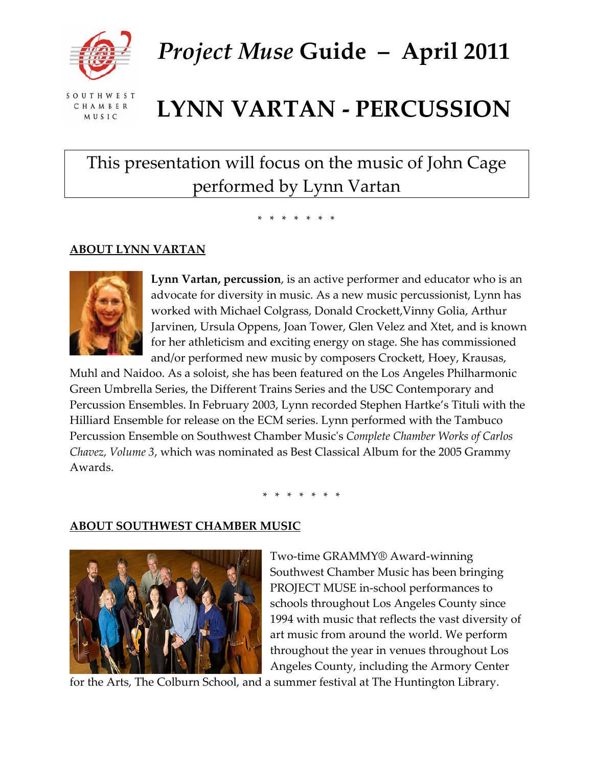

*Project Muse* **Guide – April 2011**

SOUTHWEST CHAMBER MUSIC

# **LYNN VARTAN ‐ PERCUSSION**

# This presentation will focus on the music of John Cage performed by Lynn Vartan

\* \* \* \* \* \* \*<br>\*

## **ABOUT LYNN VARTAN**



**Lynn Vartan, percussion**, is an active performer and educator who is an advocate for diversity in music. As a new music percussionist, Lynn has worked with Michael Colgrass, Donald Crockett,Vinny Golia, Arthur Jarvinen, Ursula Oppens, Joan Tower, Glen Velez and Xtet, and is known for her athleticism and exciting energy on stage. She has commissioned and/or performed new music by composers Crockett, Hoey, Krausas,

Muhl and Naidoo. As a soloist, she has been featured on the Los Angeles Philharmonic Green Umbrella Series, the Different Trains Series and the USC Contemporary and Percussion Ensembles. In February 2003, Lynn recorded Stephen Hartke's Tituli with the Hilliard Ensemble for release on the ECM series. Lynn performed with the Tambuco Percussion Ensemble on Southwest Chamber Musicʹs *Complete Chamber Works of Carlos Chavez, Volume 3*, which was nominated as Best Classical Album for the 2005 Grammy Awards.

\* \* \* \* \* \* \*<br>\*

### **ABOUT SOUTHWEST CHAMBER MUSIC**



Two‐time GRAMMY® Award‐winning Southwest Chamber Music has been bringing PROJECT MUSE in‐school performances to schools throughout Los Angeles County since 1994 with music that reflects the vast diversity of art music from around the world. We perform throughout the year in venues throughout Los Angeles County, including the Armory Center

for the Arts, The Colburn School, and a summer festival at The Huntington Library.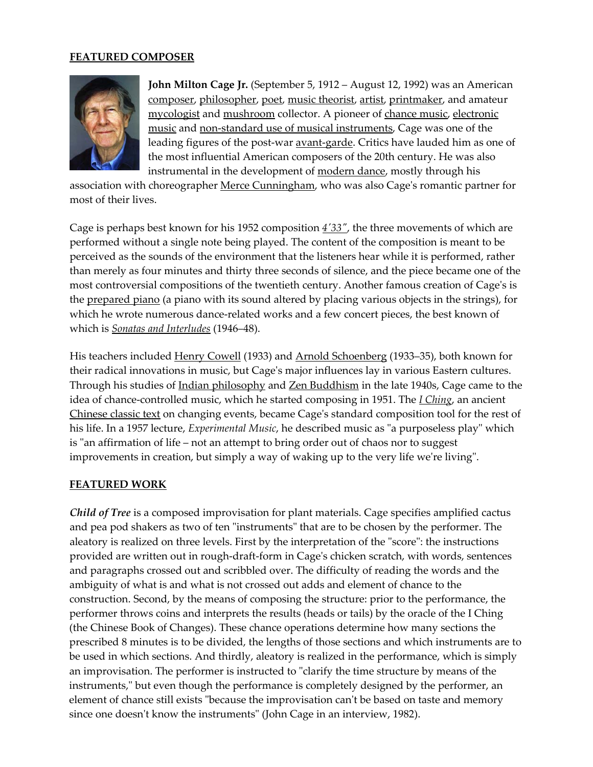#### **FEATURED COMPOSER**



**John Milton Cage Jr.** (September 5, 1912 – August 12, 1992) was an American [composer,](http://en.wikipedia.org/wiki/Composer) [philosopher,](http://en.wikipedia.org/wiki/Philosopher) [poet,](http://en.wikipedia.org/wiki/Poetry) music [theorist](http://en.wikipedia.org/wiki/Music_theory), [artist](http://en.wikipedia.org/wiki/Artist), [printmaker](http://en.wikipedia.org/wiki/Printmaking), and amateur [mycologist](http://en.wikipedia.org/wiki/Mycology) and [mushroom](http://en.wikipedia.org/wiki/Mushroom) collector. A pioneer of [chance](http://en.wikipedia.org/wiki/Aleatoric_music) music, [electronic](http://en.wikipedia.org/wiki/Electronic_music) [music](http://en.wikipedia.org/wiki/Electronic_music) and non-standard use of musical [instruments,](http://en.wikipedia.org/wiki/Extended_technique) Cage was one of the leading figures of the post-war **avant-[garde](http://en.wikipedia.org/wiki/Avant-garde)**. Critics have lauded him as one of the most influential American composers of the 20th century. He was also instrumental in the development of [modern](http://en.wikipedia.org/wiki/Modern_dance) dance, mostly through his

association with choreographer Merce [Cunningham](http://en.wikipedia.org/wiki/Merce_Cunningham), who was also Cage's romantic partner for most of their lives.

Cage is perhaps best known for his 1952 composition *4′[33](http://en.wikipedia.org/wiki/4%E2%80%B233%E2%80%B3)″*, the three movements of which are performed without a single note being played. The content of the composition is meant to be perceived as the sounds of the environment that the listeners hear while it is performed, rather than merely as four minutes and thirty three seconds of silence, and the piece became one of the most controversial compositions of the twentieth century. Another famous creation of Cage's is the [prepared](http://en.wikipedia.org/wiki/Prepared_piano) piano (a piano with its sound altered by placing various objects in the strings), for which he wrote numerous dance-related works and a few concert pieces, the best known of which is *Sonatas and [Interludes](http://en.wikipedia.org/wiki/Sonatas_and_Interludes)* (1946–48).

His teachers included Henry [Cowell](http://en.wikipedia.org/wiki/Henry_Cowell) (1933) and Arnold [Schoenberg](http://en.wikipedia.org/wiki/Arnold_Schoenberg) (1933-35), both known for their radical innovations in music, but Cageʹs major influences lay in various Eastern cultures. Through his studies of Indian [philosophy](http://en.wikipedia.org/wiki/Indian_philosophy) and Zen [Buddhism](http://en.wikipedia.org/wiki/Zen_Buddhism) in the late 1940s, Cage came to the idea of chance‐controlled music, which he started composing in 1951. The *I [Ching](http://en.wikipedia.org/wiki/I_Ching)*, an ancient [Chinese](http://en.wikipedia.org/wiki/Chinese_classic_text) classic text on changing events, became Cageʹs standard composition tool for the rest of his life. In a 1957 lecture, *Experimental Music*, he described music as "a purposeless play" which is "an affirmation of life – not an attempt to bring order out of chaos nor to suggest improvements in creation, but simply a way of waking up to the very life we're living".

#### **FEATURED WORK**

*Child of Tree* is a composed improvisation for plant materials. Cage specifies amplified cactus and pea pod shakers as two of ten "instruments" that are to be chosen by the performer. The aleatory is realized on three levels. First by the interpretation of the "score": the instructions provided are written out in rough‐draft‐form in Cageʹs chicken scratch, with words, sentences and paragraphs crossed out and scribbled over. The difficulty of reading the words and the ambiguity of what is and what is not crossed out adds and element of chance to the construction. Second, by the means of composing the structure: prior to the performance, the performer throws coins and interprets the results (heads or tails) by the oracle of the I Ching (the Chinese Book of Changes). These chance operations determine how many sections the prescribed 8 minutes is to be divided, the lengths of those sections and which instruments are to be used in which sections. And thirdly, aleatory is realized in the performance, which is simply an improvisation. The performer is instructed to "clarify the time structure by means of the instruments," but even though the performance is completely designed by the performer, an element of chance still exists "because the improvisation can't be based on taste and memory since one doesn't know the instruments" (John Cage in an interview, 1982).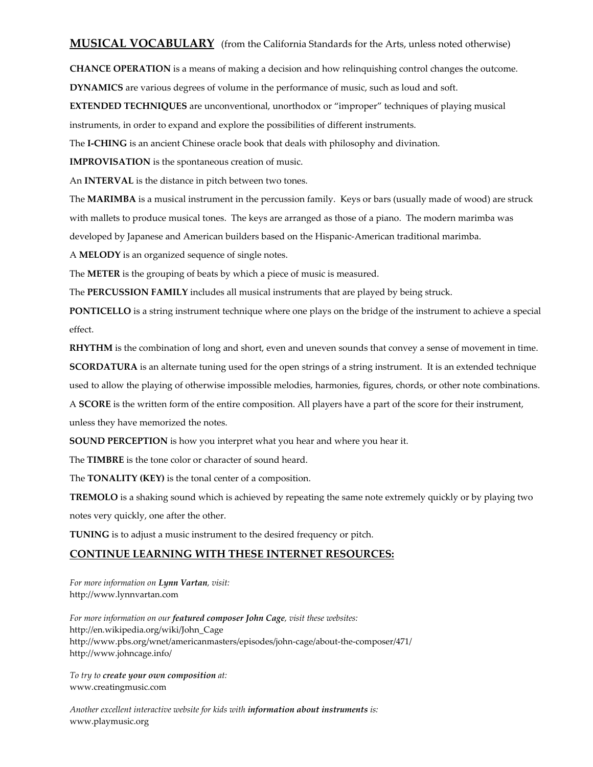#### **MUSICAL VOCABULARY** (from the California Standards for the Arts, unless noted otherwise)

**CHANCE OPERATION** is a means of making a decision and how relinquishing control changes the outcome. **DYNAMICS** are various degrees of volume in the performance of music, such as loud and soft.

**EXTENDED TECHNIQUES** are unconventional, unorthodox or "improper" techniques of playing musical

instruments, in order to expand and explore the possibilities of different instruments.

The **I‐CHING** is an ancient Chinese oracle book that deals with philosophy and divination.

**IMPROVISATION** is the spontaneous creation of music.

An **INTERVAL** is the distance in pitch between two tones.

The **MARIMBA** is a musical instrument in the percussion family. Keys or bars (usually made of wood) are struck with mallets to produce musical tones. The keys are arranged as those of a piano. The modern marimba was developed by Japanese and American builders based on the Hispanic‐American traditional marimba.

A **MELODY** is an organized sequence of single notes.

The **METER** is the grouping of beats by which a piece of music is measured.

The **PERCUSSION FAMILY** includes all musical instruments that are played by being struck.

**PONTICELLO** is a string instrument technique where one plays on the bridge of the instrument to achieve a special effect.

**RHYTHM** is the combination of long and short, even and uneven sounds that convey a sense of movement in time. **SCORDATURA** is an alternate tuning used for the open strings of a string instrument. It is an extended technique used to allow the playing of otherwise impossible melodies, harmonies, figures, chords, or other note combinations. A **SCORE** is the written form of the entire composition. All players have a part of the score for their instrument,

unless they have memorized the notes.

**SOUND PERCEPTION** is how you interpret what you hear and where you hear it.

The **TIMBRE** is the tone color or character of sound heard.

The **TONALITY (KEY)** is the tonal center of a composition.

**TREMOLO** is a shaking sound which is achieved by repeating the same note extremely quickly or by playing two notes very quickly, one after the other.

**TUNING** is to adjust a music instrument to the desired frequency or pitch.

#### **CONTINUE LEARNING WITH THESE INTERNET RESOURCES:**

*For more information on Lynn Vartan, visit:* http://www.lynnvartan.com

*For more information on our featured composer John Cage, visit these websites:* http://en.wikipedia.org/wiki/John\_Cage http://www.pbs.org/wnet/americanmasters/episodes/john‐cage/about‐the‐composer/471/ http://www.johncage.info/

*To try to create your own composition at:* www.creatingmusic.com

*Another excellent interactive website for kids with information about instruments is:* www.playmusic.org